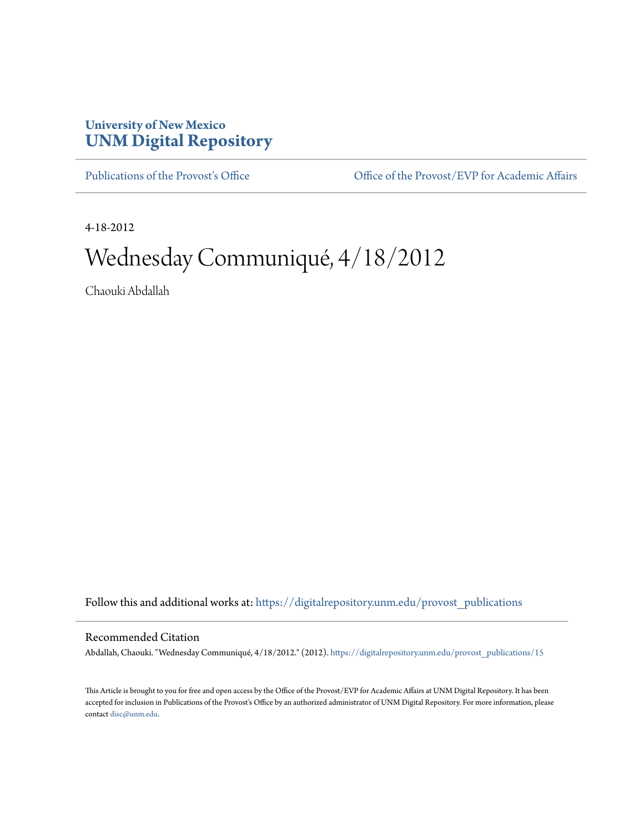## **University of New Mexico [UNM Digital Repository](https://digitalrepository.unm.edu?utm_source=digitalrepository.unm.edu%2Fprovost_publications%2F15&utm_medium=PDF&utm_campaign=PDFCoverPages)**

[Publications of the Provost's Office](https://digitalrepository.unm.edu/provost_publications?utm_source=digitalrepository.unm.edu%2Fprovost_publications%2F15&utm_medium=PDF&utm_campaign=PDFCoverPages) Office [Office of the Provost/EVP for Academic Affairs](https://digitalrepository.unm.edu/ofc_provost?utm_source=digitalrepository.unm.edu%2Fprovost_publications%2F15&utm_medium=PDF&utm_campaign=PDFCoverPages)

4-18-2012

# Wednesday Communiqué, 4/18/2012

Chaouki Abdallah

Follow this and additional works at: [https://digitalrepository.unm.edu/provost\\_publications](https://digitalrepository.unm.edu/provost_publications?utm_source=digitalrepository.unm.edu%2Fprovost_publications%2F15&utm_medium=PDF&utm_campaign=PDFCoverPages)

#### Recommended Citation

Abdallah, Chaouki. "Wednesday Communiqué, 4/18/2012." (2012). [https://digitalrepository.unm.edu/provost\\_publications/15](https://digitalrepository.unm.edu/provost_publications/15?utm_source=digitalrepository.unm.edu%2Fprovost_publications%2F15&utm_medium=PDF&utm_campaign=PDFCoverPages)

This Article is brought to you for free and open access by the Office of the Provost/EVP for Academic Affairs at UNM Digital Repository. It has been accepted for inclusion in Publications of the Provost's Office by an authorized administrator of UNM Digital Repository. For more information, please contact [disc@unm.edu.](mailto:disc@unm.edu)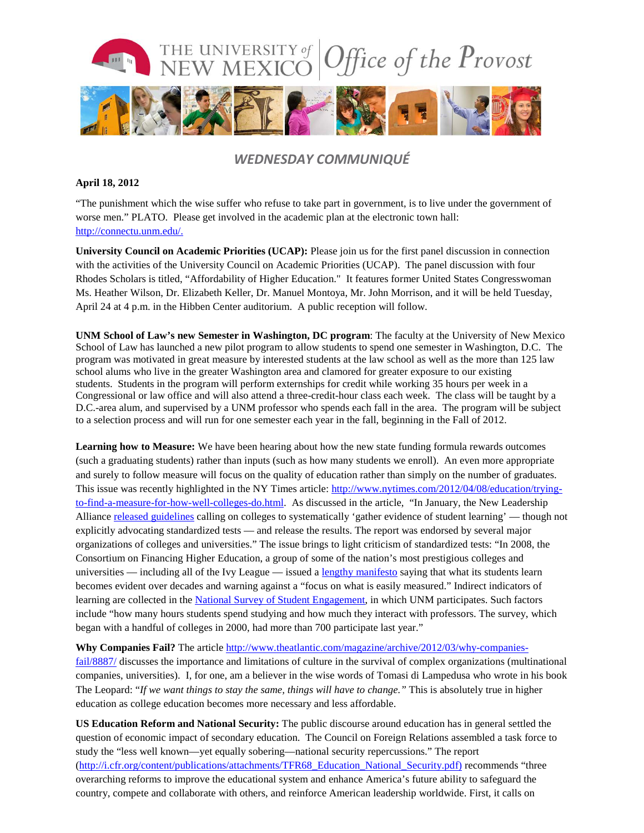

### *WEDNESDAY COMMUNIQUÉ*

#### **April 18, 2012**

"The punishment which the wise suffer who refuse to take part in government, is to live under the government of worse men." PLATO. Please get involved in the academic plan at the electronic town hall: [http://connectu.unm.edu/.](http://connectu.unm.edu/)

**University Council on Academic Priorities (UCAP):** Please join us for the first panel discussion in connection with the activities of the University Council on Academic Priorities (UCAP). The panel discussion with four Rhodes Scholars is titled, "Affordability of Higher Education." It features former United States Congresswoman Ms. Heather Wilson, Dr. Elizabeth Keller, Dr. Manuel Montoya, Mr. John Morrison, and it will be held Tuesday, April 24 at 4 p.m. in the Hibben Center auditorium. A public reception will follow.

**UNM School of Law's new Semester in Washington, DC program**: The faculty at the University of New Mexico School of Law has launched a new pilot program to allow students to spend one semester in Washington, D.C. The program was motivated in great measure by interested students at the law school as well as the more than 125 law school alums who live in the greater Washington area and clamored for greater exposure to our existing students. Students in the program will perform externships for credit while working 35 hours per week in a Congressional or law office and will also attend a three-credit-hour class each week. The class will be taught by a D.C.-area alum, and supervised by a UNM professor who spends each fall in the area. The program will be subject to a selection process and will run for one semester each year in the fall, beginning in the Fall of 2012.

**Learning how to Measure:** We have been hearing about how the new state funding formula rewards outcomes (such a graduating students) rather than inputs (such as how many students we enroll). An even more appropriate and surely to follow measure will focus on the quality of education rather than simply on the number of graduates. This issue was recently highlighted in the NY Times article: [http://www.nytimes.com/2012/04/08/education/trying](http://www.nytimes.com/2012/04/08/education/trying-to-find-a-measure-for-how-well-colleges-do.html)[to-find-a-measure-for-how-well-colleges-do.html.](http://www.nytimes.com/2012/04/08/education/trying-to-find-a-measure-for-how-well-colleges-do.html) As discussed in the article, "In January, the New Leadership Alliance [released guidelines](http://www.newleadershipalliance.org/what_we_do/committing_to_quality/) calling on colleges to systematically 'gather evidence of student learning' — though not explicitly advocating standardized tests — and release the results. The report was endorsed by several major organizations of colleges and universities." The issue brings to light criticism of standardized tests: "In 2008, the Consortium on Financing Higher Education, a group of some of the nation's most prestigious colleges and universities — including all of the Ivy League — issued a [lengthy manifesto](http://web.mit.edu/cofhe/assessment/statement/index_files/Page717.htm) saying that what its students learn becomes evident over decades and warning against a "focus on what is easily measured." Indirect indicators of learning are collected in the [National Survey of Student Engagement,](http://www.nsse.iub.edu/) in which UNM participates. Such factors include "how many hours students spend studying and how much they interact with professors. The survey, which began with a handful of colleges in 2000, had more than 700 participate last year."

**Why Companies Fail?** The article [http://www.theatlantic.com/magazine/archive/2012/03/why-companies](http://www.theatlantic.com/magazine/archive/2012/03/why-companies-fail/8887/)[fail/8887/](http://www.theatlantic.com/magazine/archive/2012/03/why-companies-fail/8887/) discusses the importance and limitations of culture in the survival of complex organizations (multinational companies, universities). I, for one, am a believer in the wise words of Tomasi di Lampedusa who wrote in his book The Leopard: "*If we want things to stay the same, things will have to change."* This is absolutely true in higher education as college education becomes more necessary and less affordable.

**US Education Reform and National Security:** The public discourse around education has in general settled the question of economic impact of secondary education. The Council on Foreign Relations assembled a task force to study the "less well known—yet equally sobering—national security repercussions." The report [\(http://i.cfr.org/content/publications/attachments/TFR68\\_Education\\_National\\_Security.pdf\)](http://i.cfr.org/content/publications/attachments/TFR68_Education_National_Security.pdf) recommends "three overarching reforms to improve the educational system and enhance America's future ability to safeguard the country, compete and collaborate with others, and reinforce American leadership worldwide. First, it calls on